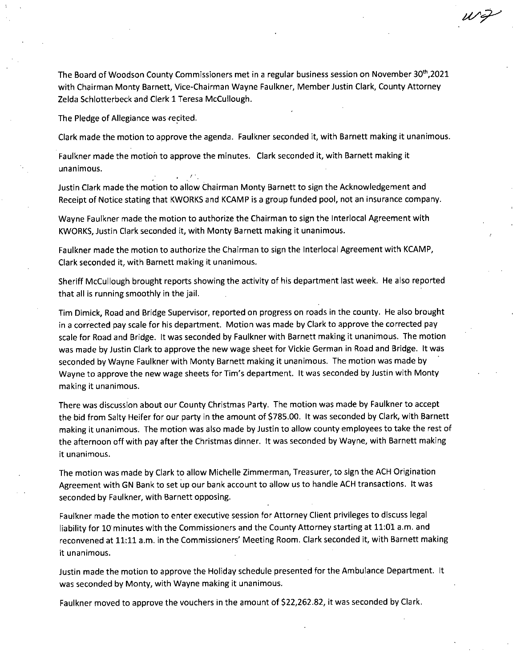The Board of Woodson County Commissioners met in a regular business session on November 30<sup>th</sup>,2021 with Chairman Monty Barnett, Vice-Chairman Wayne Faulkner, Member Justin Clark, County Attorney Zelda Schlotterbeck and Clerk 1 Teresa McCullough.

 $\nu_{\mathscr{J}}$ 

The Pledge of Allegiance was recited.

Clark made the motion to approve the agenda. Faulkner seconded it, with Barnett making it unanimous.

Faulkner made the motion to approve the minutes. Clark seconded it, with Barnett making it unanimous.

Justin Clark made the motion to allow Chairman Monty Barnett to sign the Acknowledgement and Receipt of Notice stating that KWORKS and KCAMP is a group funded pool, not an insurance company.

Wayne Faulkner made the motion to authorize the Chairman to sign the Interlocal Agreement with KWORKS, Justin Clark seconded it, with Monty Barnett making it unanimous.

Faulkner made the motion to authorize the Chairman to sign the Interlocal Agreement with KCAMP, Clark seconded it, with Barnett making it unanimous.

Sheriff McCullough brought reports showing the activity of his department last week. He also reported that all is running smoothly in the jail.

Tim Dimick, Road and Bridge Supervisor, reported on progress on roads in the county. He also brought in a corrected pay scale for his department. Motion was made by Clark to approve the corrected pay scale for Road and Bridge. It was seconded by Faulkner with Barnett making it unanimous. The motion was made by Justin Clark to approve the new wage sheet for Vickie German in Road and Bridge. It was seconded by Wayne Faulkner with Monty Barnett making it unanimous. The motion was made by • Wayne to approve the new wage sheets for Tim's department. It was seconded by Justin with Monty making it unanimous.

There was discussion about our County Christmas Party. The motion was made by Faulkner to accept the bid from Salty Heifer for our party in the amount of \$785.00. It was seconded by Clark, with Barnett making it unanimous. The motion was also made by Justin to allow county employees to take the rest of the afternoon off with pay after the Christmas dinner. It was seconded by Wayne, with Barnett making it unanimous.

The motion was made by Clark to allow Michelle Zimmerman, Treasurer, to sign the ACH Origination Agreement with GN Bank to set up our bank account to allow us to handle ACH transactions. It was seconded by Faulkner, with Barnett opposing.

Faulkner made the motion to enter executive session for Attorney Client privileges to discuss legal liability for 10 minutes with the Commissioners and the County Attorney starting at 11:01 a.m. and reconvened at 11:11 a.m. in the Commissioners' Meeting Room. Clark seconded it, with Barnett making it unanimous.

Justin made the motion to approve the Holiday schedule presented for the Ambulance Department. It was seconded by Monty, with Wayne making it unanimous.

Faulkner moved to approve the vouchers in the amount of \$22,262.82, it was seconded by Clark.